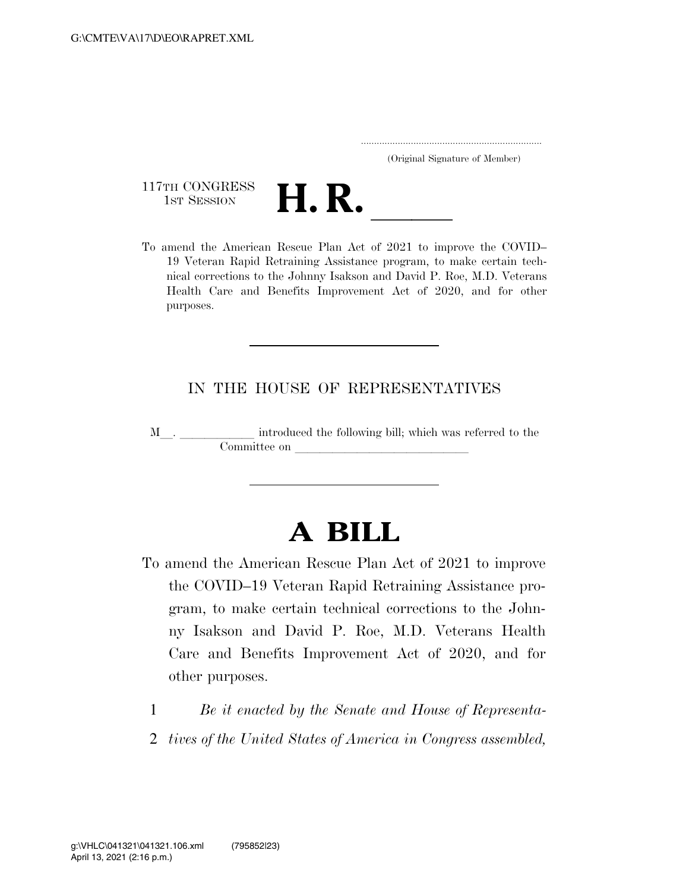..................................................................... (Original Signature of Member)

117TH CONGRESS<br>1st Session



117TH CONGRESS<br>1st SESSION **H. R.** <u>Indices Secree Plan Act of 2021</u> to improve the COVID– 19 Veteran Rapid Retraining Assistance program, to make certain technical corrections to the Johnny Isakson and David P. Roe, M.D. Veterans Health Care and Benefits Improvement Act of 2020, and for other purposes.

#### IN THE HOUSE OF REPRESENTATIVES

M\_\_. \_\_\_\_\_\_\_\_\_\_\_\_ introduced the following bill; which was referred to the Committee on later and later the committee on later and later than  $\frac{1}{\sqrt{2\pi}}$ 

# **A BILL**

- To amend the American Rescue Plan Act of 2021 to improve the COVID–19 Veteran Rapid Retraining Assistance program, to make certain technical corrections to the Johnny Isakson and David P. Roe, M.D. Veterans Health Care and Benefits Improvement Act of 2020, and for other purposes.
	- 1 *Be it enacted by the Senate and House of Representa-*
	- 2 *tives of the United States of America in Congress assembled,*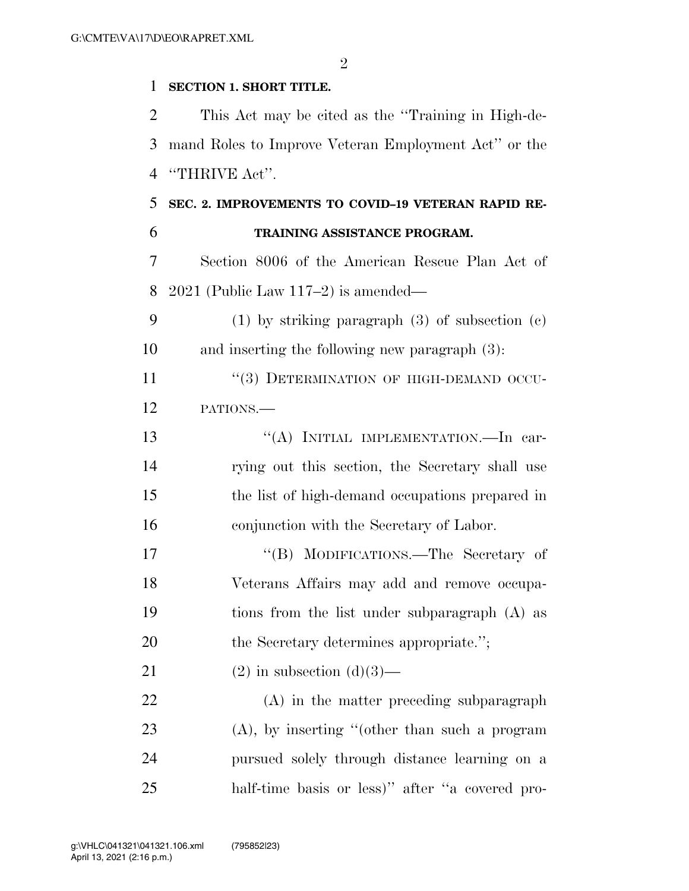$\mathfrak{D}$ 

#### **SECTION 1. SHORT TITLE.**

 This Act may be cited as the ''Training in High-de- mand Roles to Improve Veteran Employment Act'' or the ''THRIVE Act''.

### **SEC. 2. IMPROVEMENTS TO COVID–19 VETERAN RAPID RE-TRAINING ASSISTANCE PROGRAM.**

 Section 8006 of the American Rescue Plan Act of 2021 (Public Law 117–2) is amended—

 (1) by striking paragraph (3) of subsection (c) and inserting the following new paragraph (3):

11 "(3) DETERMINATION OF HIGH-DEMAND OCCU-PATIONS.—

13 "(A) INITIAL IMPLEMENTATION.—In car- rying out this section, the Secretary shall use the list of high-demand occupations prepared in conjunction with the Secretary of Labor.

17 "'(B) MODIFICATIONS.—The Secretary of Veterans Affairs may add and remove occupa- tions from the list under subparagraph (A) as 20 the Secretary determines appropriate.";

21 (2) in subsection  $(d)(3)$ —

 (A) in the matter preceding subparagraph (A), by inserting ''(other than such a program pursued solely through distance learning on a half-time basis or less)'' after ''a covered pro-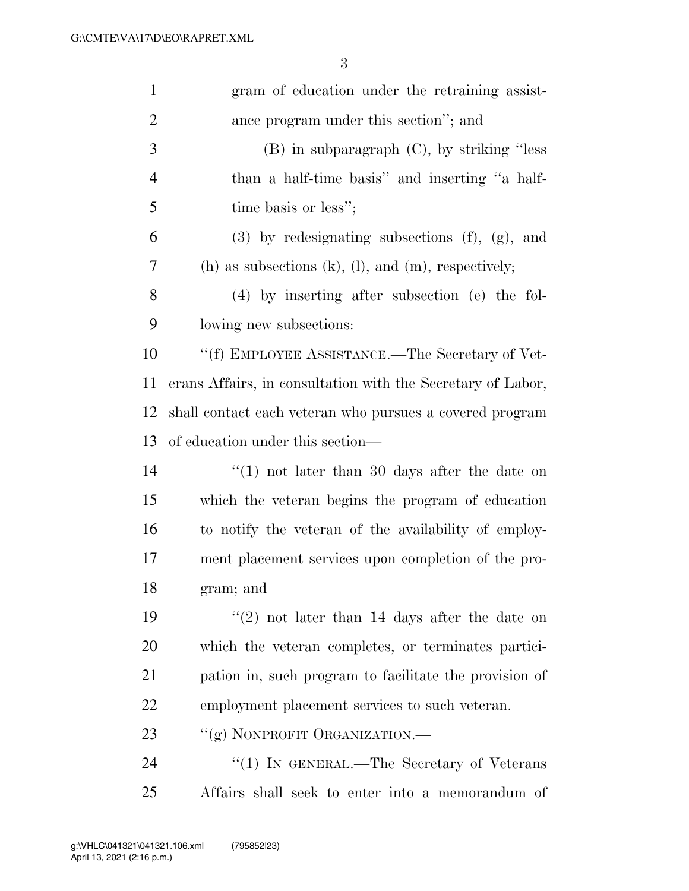| $\mathbf{1}$   | gram of education under the retraining assist-               |
|----------------|--------------------------------------------------------------|
| $\overline{2}$ | ance program under this section"; and                        |
| 3              | $(B)$ in subparagraph $(C)$ , by striking "less"             |
| 4              | than a half-time basis" and inserting "a half-               |
| 5              | time basis or less";                                         |
| 6              | $(3)$ by redesignating subsections $(f)$ , $(g)$ , and       |
| 7              | (h) as subsections $(k)$ , $(l)$ , and $(m)$ , respectively; |
| 8              | $(4)$ by inserting after subsection (e) the fol-             |
| 9              | lowing new subsections:                                      |
| 10             | "(f) EMPLOYEE ASSISTANCE.—The Secretary of Vet-              |
| 11             | erans Affairs, in consultation with the Secretary of Labor,  |
| 12             | shall contact each veteran who pursues a covered program     |
| 13             | of education under this section—                             |
| 14             | "(1) not later than 30 days after the date on                |
| 15             | which the veteran begins the program of education            |
| 16             | to notify the veteran of the availability of employ-         |
| 17             | ment placement services upon completion of the pro-          |
| 18             | gram; and                                                    |
| 19             | $(2)$ not later than 14 days after the date on               |
| 20             | which the veteran completes, or terminates partici-          |
| 21             | pation in, such program to facilitate the provision of       |
| 22             | employment placement services to such veteran.               |
| 23             | "(g) NONPROFIT ORGANIZATION.—                                |
| 24             | "(1) IN GENERAL.—The Secretary of Veterans                   |
| 25             | Affairs shall seek to enter into a memorandum of             |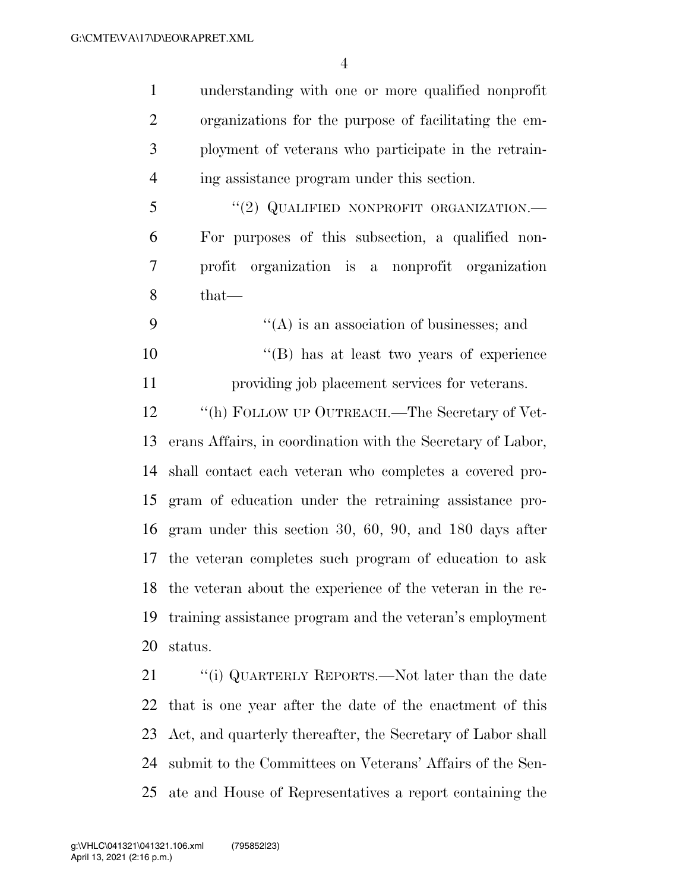understanding with one or more qualified nonprofit organizations for the purpose of facilitating the em- ployment of veterans who participate in the retrain- ing assistance program under this section. 5 "(2) QUALIFIED NONPROFIT ORGANIZATION.— For purposes of this subsection, a qualified non-

- that—
- 9  $"({\rm A})$  is an association of businesses; and 10 ''(B) has at least two years of experience providing job placement services for veterans.

profit organization is a nonprofit organization

12 "(h) FOLLOW UP OUTREACH.—The Secretary of Vet- erans Affairs, in coordination with the Secretary of Labor, shall contact each veteran who completes a covered pro- gram of education under the retraining assistance pro- gram under this section 30, 60, 90, and 180 days after the veteran completes such program of education to ask the veteran about the experience of the veteran in the re- training assistance program and the veteran's employment status.

21 ""(i) QUARTERLY REPORTS.—Not later than the date that is one year after the date of the enactment of this Act, and quarterly thereafter, the Secretary of Labor shall submit to the Committees on Veterans' Affairs of the Sen-ate and House of Representatives a report containing the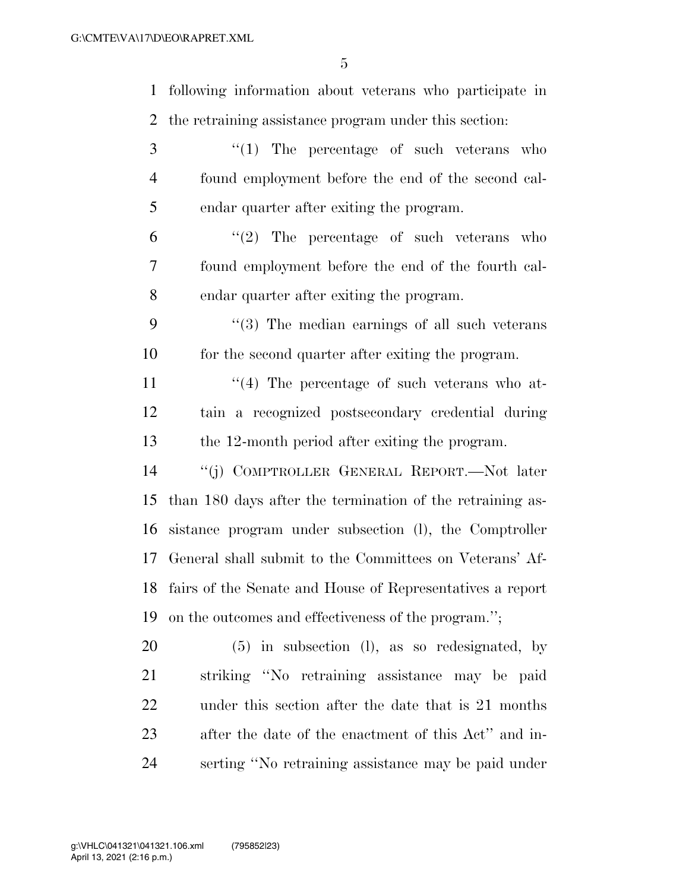following information about veterans who participate in the retraining assistance program under this section: 3 "(1) The percentage of such veterans who found employment before the end of the second cal- endar quarter after exiting the program.  $(6)$  ''(2) The percentage of such veterans who found employment before the end of the fourth cal- endar quarter after exiting the program. ''(3) The median earnings of all such veterans for the second quarter after exiting the program.  $\frac{1}{4}$  The percentage of such veterans who at- tain a recognized postsecondary credential during the 12-month period after exiting the program. ''(j) COMPTROLLER GENERAL REPORT.—Not later than 180 days after the termination of the retraining as- sistance program under subsection (l), the Comptroller General shall submit to the Committees on Veterans' Af- fairs of the Senate and House of Representatives a report on the outcomes and effectiveness of the program.''; (5) in subsection (l), as so redesignated, by striking ''No retraining assistance may be paid

 under this section after the date that is 21 months after the date of the enactment of this Act'' and in-

serting ''No retraining assistance may be paid under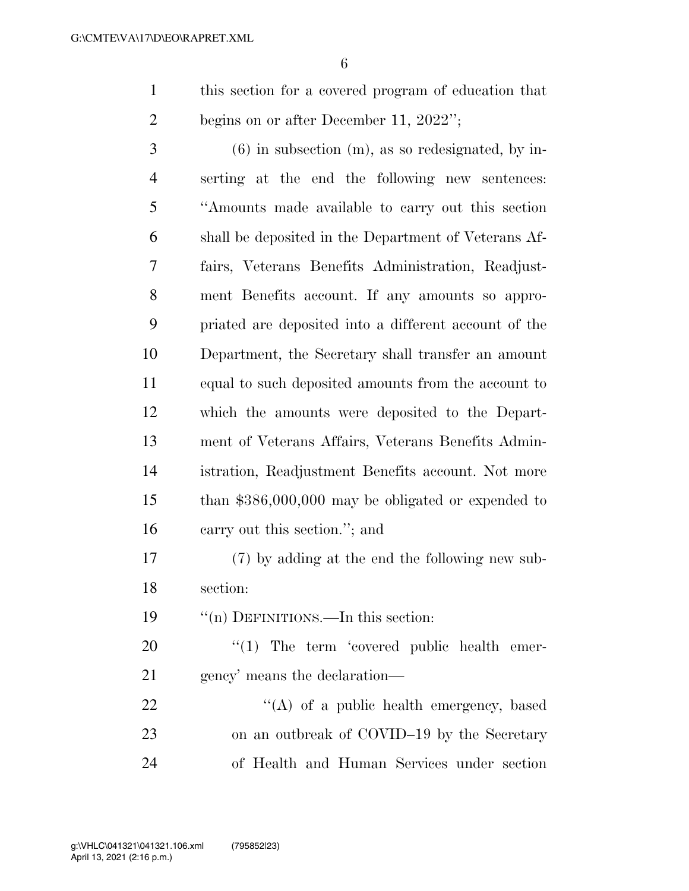this section for a covered program of education that 2 begins on or after December 11, 2022";

 (6) in subsection (m), as so redesignated, by in- serting at the end the following new sentences: ''Amounts made available to carry out this section shall be deposited in the Department of Veterans Af- fairs, Veterans Benefits Administration, Readjust- ment Benefits account. If any amounts so appro- priated are deposited into a different account of the Department, the Secretary shall transfer an amount equal to such deposited amounts from the account to which the amounts were deposited to the Depart- ment of Veterans Affairs, Veterans Benefits Admin- istration, Readjustment Benefits account. Not more than \$386,000,000 may be obligated or expended to carry out this section.''; and

 (7) by adding at the end the following new sub-section:

''(n) DEFINITIONS.—In this section:

20  $\frac{1}{20}$  The term 'covered public health emer-gency' means the declaration—

 $\mathcal{L}(A)$  of a public health emergency, based on an outbreak of COVID–19 by the Secretary of Health and Human Services under section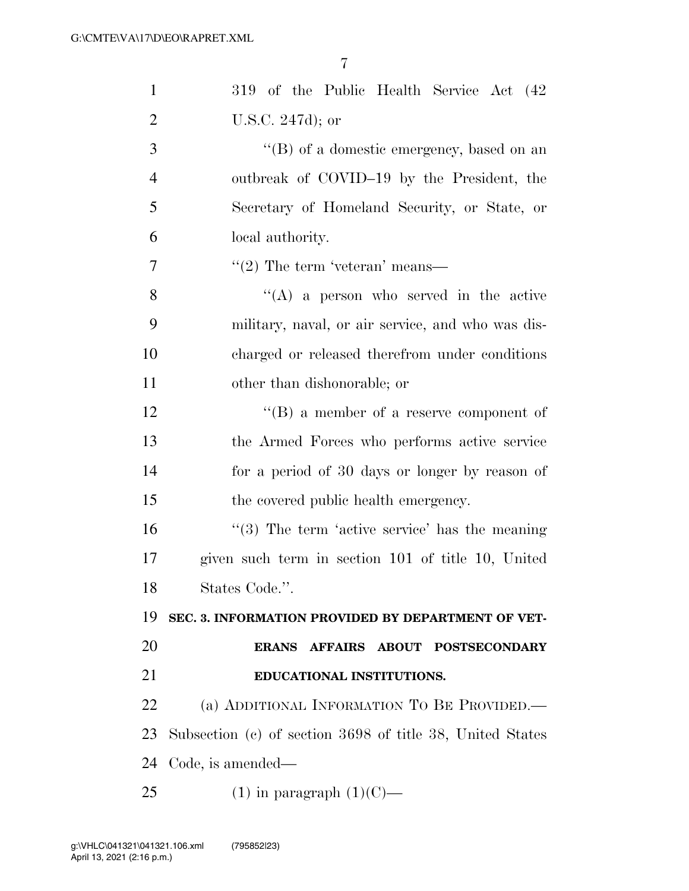| $\mathbf{1}$   | 319 of the Public Health Service Act (42)                 |
|----------------|-----------------------------------------------------------|
| $\overline{2}$ | U.S.C. 247d); or                                          |
| 3              | "(B) of a domestic emergency, based on an                 |
| $\overline{4}$ | outbreak of COVID-19 by the President, the                |
| 5              | Secretary of Homeland Security, or State, or              |
| 6              | local authority.                                          |
| 7              | $"(2)$ The term 'veteran' means—                          |
| 8              | $\lq\lq$ (A) a person who served in the active            |
| 9              | military, naval, or air service, and who was dis-         |
| 10             | charged or released therefrom under conditions            |
| 11             | other than dishonorable; or                               |
| 12             | $\lq\lq (B)$ a member of a reserve component of           |
| 13             | the Armed Forces who performs active service              |
| 14             | for a period of 30 days or longer by reason of            |
| 15             | the covered public health emergency.                      |
| 16             | $\lq(3)$ The term 'active service' has the meaning        |
| 17             | given such term in section 101 of title 10, United        |
| 18             | States Code.".                                            |
| 19             | SEC. 3. INFORMATION PROVIDED BY DEPARTMENT OF VET-        |
| 20             | ERANS AFFAIRS ABOUT POSTSECONDARY                         |
| 21             | EDUCATIONAL INSTITUTIONS.                                 |
| 22             | (a) ADDITIONAL INFORMATION TO BE PROVIDED.                |
| 23             | Subsection (c) of section 3698 of title 38, United States |
| 24             | Code, is amended—                                         |
| 25             | $(1)$ in paragraph $(1)(C)$ —                             |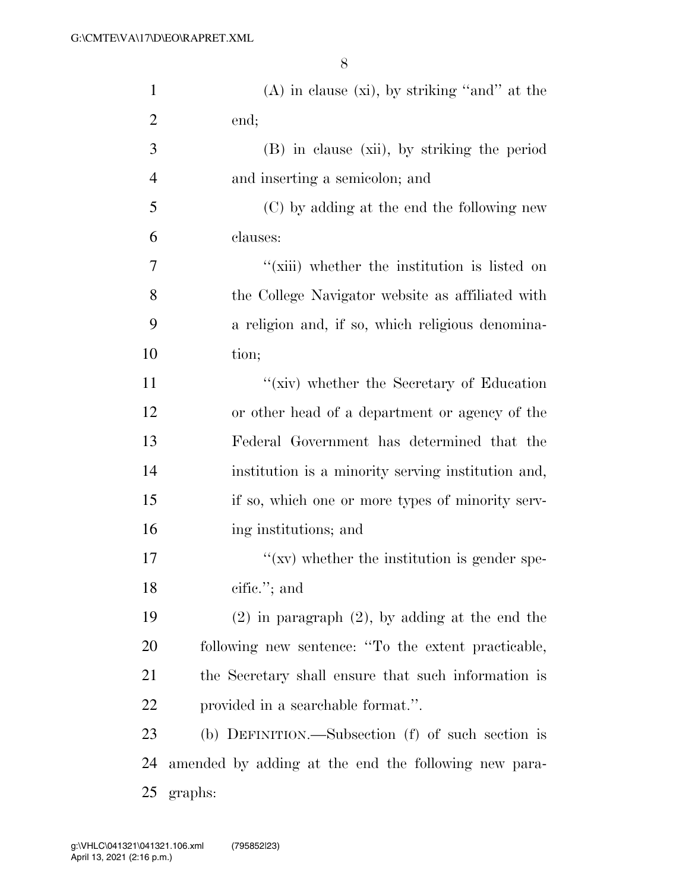| $\mathbf{1}$   | $(A)$ in clause $(xi)$ , by striking "and" at the    |
|----------------|------------------------------------------------------|
| $\overline{2}$ | end;                                                 |
| 3              | (B) in clause (xii), by striking the period          |
| 4              | and inserting a semicolon; and                       |
| 5              | (C) by adding at the end the following new           |
| 6              | clauses:                                             |
| 7              | "(xiii) whether the institution is listed on         |
| 8              | the College Navigator website as affiliated with     |
| 9              | a religion and, if so, which religious denomina-     |
| 10             | tion;                                                |
| 11             | "(xiv) whether the Secretary of Education            |
| 12             | or other head of a department or agency of the       |
| 13             | Federal Government has determined that the           |
| 14             | institution is a minority serving institution and,   |
| 15             | if so, which one or more types of minority serv-     |
| 16             | ing institutions; and                                |
| 17             | $\lq\lq$ (xv) whether the institution is gender spe- |
| 18             | cific."; and                                         |
| 19             | $(2)$ in paragraph $(2)$ , by adding at the end the  |
| 20             | following new sentence: "To the extent practicable,  |
| 21             | the Secretary shall ensure that such information is  |
| 22             | provided in a searchable format.".                   |
| 23             | (b) DEFINITION.—Subsection (f) of such section is    |
| 24             | amended by adding at the end the following new para- |
| 25             | graphs:                                              |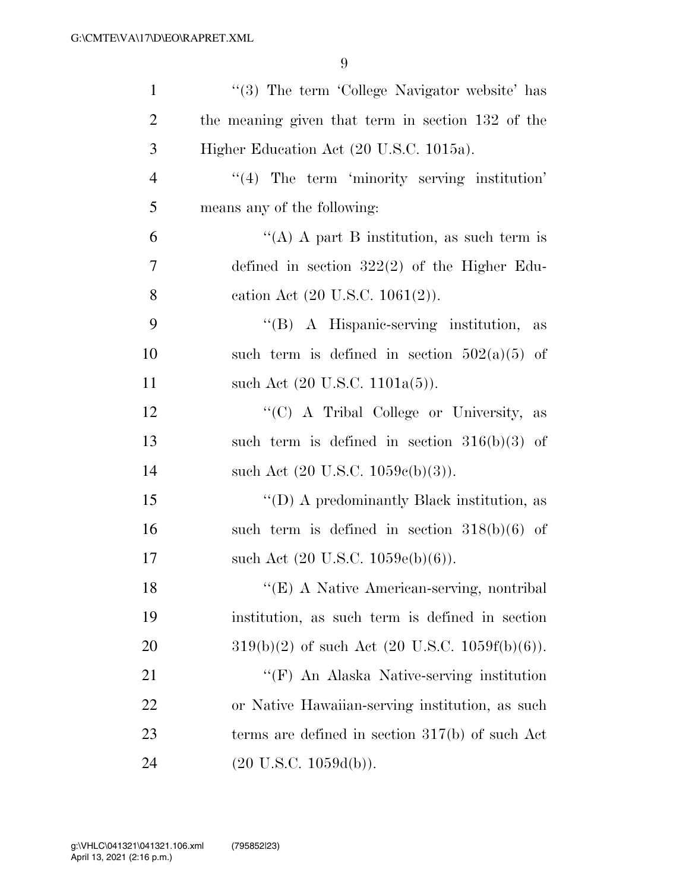| $\mathbf{1}$   | $\lq(3)$ The term 'College Navigator website' has |
|----------------|---------------------------------------------------|
| $\overline{2}$ | the meaning given that term in section 132 of the |
| 3              | Higher Education Act (20 U.S.C. 1015a).           |
| $\overline{4}$ | $\lq(4)$ The term 'minority serving institution'  |
| 5              | means any of the following:                       |
| 6              | "(A) A part B institution, as such term is        |
| 7              | defined in section $322(2)$ of the Higher Edu-    |
| 8              | cation Act $(20 \text{ U.S.C. } 1061(2))$ .       |
| 9              | "(B) A Hispanic-serving institution,<br>as        |
| 10             | such term is defined in section $502(a)(5)$ of    |
| 11             | such Act $(20 \text{ U.S.C. } 1101a(5))$ .        |
| 12             | "(C) A Tribal College or University, as           |
| 13             | such term is defined in section $316(b)(3)$ of    |
| 14             | such Act $(20 \text{ U.S.C. } 1059c(b)(3))$ .     |
| 15             | "(D) A predominantly Black institution, as        |
| 16             | such term is defined in section $318(b)(6)$ of    |
| 17             | such Act $(20 \text{ U.S.C. } 1059e(b)(6)).$      |
| 18             | "(E) A Native American-serving, nontribal         |
| 19             | institution, as such term is defined in section   |
| <b>20</b>      | $319(b)(2)$ of such Act (20 U.S.C. 1059f(b)(6)).  |
| 21             | "(F) An Alaska Native-serving institution         |
| 22             | or Native Hawaiian-serving institution, as such   |
| 23             | terms are defined in section $317(b)$ of such Act |
| 24             | $(20 \text{ U.S.C. } 1059d(b)).$                  |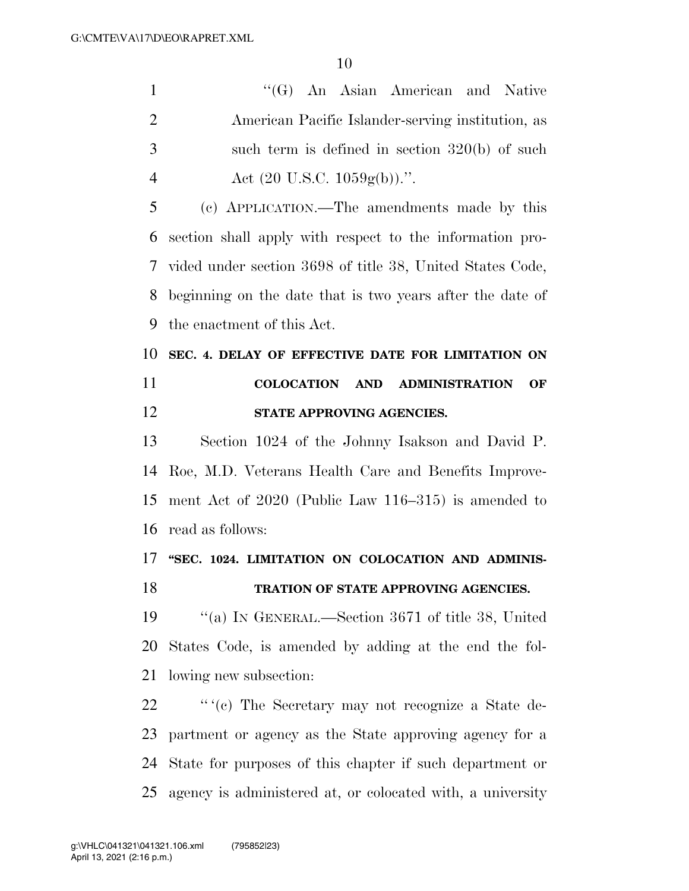1 ''(G) An Asian American and Native American Pacific Islander-serving institution, as such term is defined in section 320(b) of such 4 Act  $(20 \text{ U.S.C. } 1059 \text{g(b)}).$ ".

 (c) APPLICATION.—The amendments made by this section shall apply with respect to the information pro- vided under section 3698 of title 38, United States Code, beginning on the date that is two years after the date of the enactment of this Act.

## **SEC. 4. DELAY OF EFFECTIVE DATE FOR LIMITATION ON COLOCATION AND ADMINISTRATION OF STATE APPROVING AGENCIES.**

 Section 1024 of the Johnny Isakson and David P. Roe, M.D. Veterans Health Care and Benefits Improve- ment Act of 2020 (Public Law 116–315) is amended to read as follows:

### **''SEC. 1024. LIMITATION ON COLOCATION AND ADMINIS-TRATION OF STATE APPROVING AGENCIES.**

 ''(a) IN GENERAL.—Section 3671 of title 38, United States Code, is amended by adding at the end the fol-lowing new subsection:

22 '' "(c) The Secretary may not recognize a State de- partment or agency as the State approving agency for a State for purposes of this chapter if such department or agency is administered at, or colocated with, a university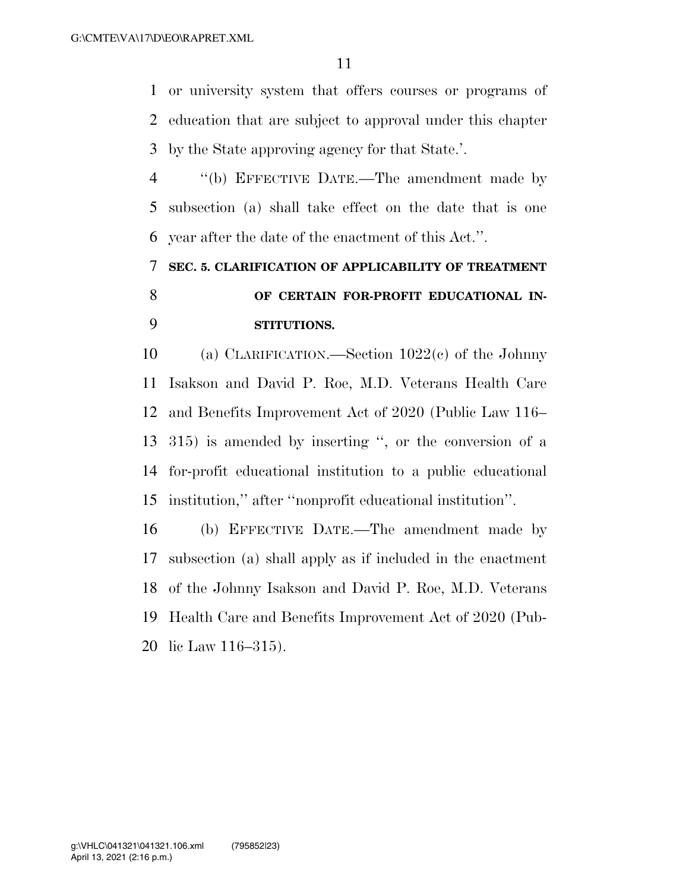or university system that offers courses or programs of education that are subject to approval under this chapter by the State approving agency for that State.'.

 ''(b) EFFECTIVE DATE.—The amendment made by subsection (a) shall take effect on the date that is one year after the date of the enactment of this Act.''.

# **SEC. 5. CLARIFICATION OF APPLICABILITY OF TREATMENT OF CERTAIN FOR-PROFIT EDUCATIONAL IN-STITUTIONS.**

 (a) CLARIFICATION.—Section 1022(c) of the Johnny Isakson and David P. Roe, M.D. Veterans Health Care and Benefits Improvement Act of 2020 (Public Law 116– 315) is amended by inserting '', or the conversion of a for-profit educational institution to a public educational institution,'' after ''nonprofit educational institution''.

 (b) EFFECTIVE DATE.—The amendment made by subsection (a) shall apply as if included in the enactment of the Johnny Isakson and David P. Roe, M.D. Veterans Health Care and Benefits Improvement Act of 2020 (Pub-lic Law 116–315).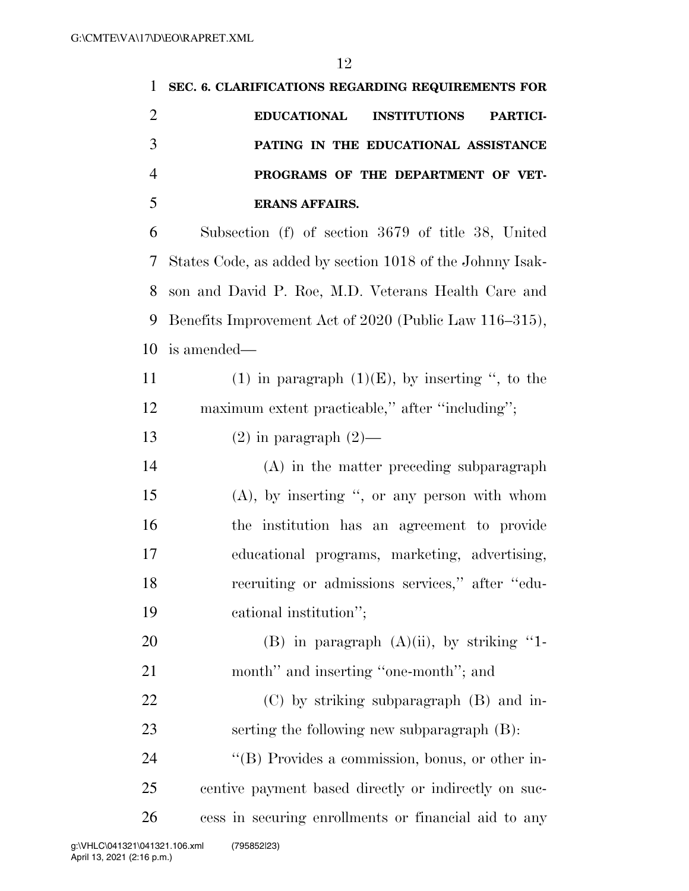| 1              | SEC. 6. CLARIFICATIONS REGARDING REQUIREMENTS FOR            |
|----------------|--------------------------------------------------------------|
| $\overline{2}$ | <b>EDUCATIONAL</b><br><b>INSTITUTIONS</b><br><b>PARTICI-</b> |
| 3              | PATING IN THE EDUCATIONAL ASSISTANCE                         |
| $\overline{4}$ | PROGRAMS OF THE DEPARTMENT OF VET-                           |
| 5              | <b>ERANS AFFAIRS.</b>                                        |
| 6              | Subsection (f) of section 3679 of title 38, United           |
| 7              | States Code, as added by section 1018 of the Johnny Isak-    |
| 8              | son and David P. Roe, M.D. Veterans Health Care and          |
| 9              | Benefits Improvement Act of 2020 (Public Law 116–315),       |
| 10             | is amended—                                                  |
| 11             | (1) in paragraph $(1)(E)$ , by inserting ", to the           |
| 12             | maximum extent practicable," after "including";              |
| 13             | $(2)$ in paragraph $(2)$ —                                   |
| 14             | (A) in the matter preceding subparagraph                     |
| 15             | $(A)$ , by inserting ", or any person with whom              |
| 16             | the institution has an agreement to provide                  |
| 17             | educational programs, marketing, advertising,                |
| 18             | recruiting or admissions services," after "edu-              |
| 19             | cational institution";                                       |
| 20             | $(B)$ in paragraph $(A)(ii)$ , by striking "1-               |
| 21             | month" and inserting "one-month"; and                        |
| 22             | $(C)$ by striking subparagraph $(B)$ and in-                 |
| 23             | serting the following new subparagraph (B):                  |
| 24             | "(B) Provides a commission, bonus, or other in-              |
| 25             | centive payment based directly or indirectly on suc-         |
| 26             | cess in securing enrollments or financial aid to any         |
|                |                                                              |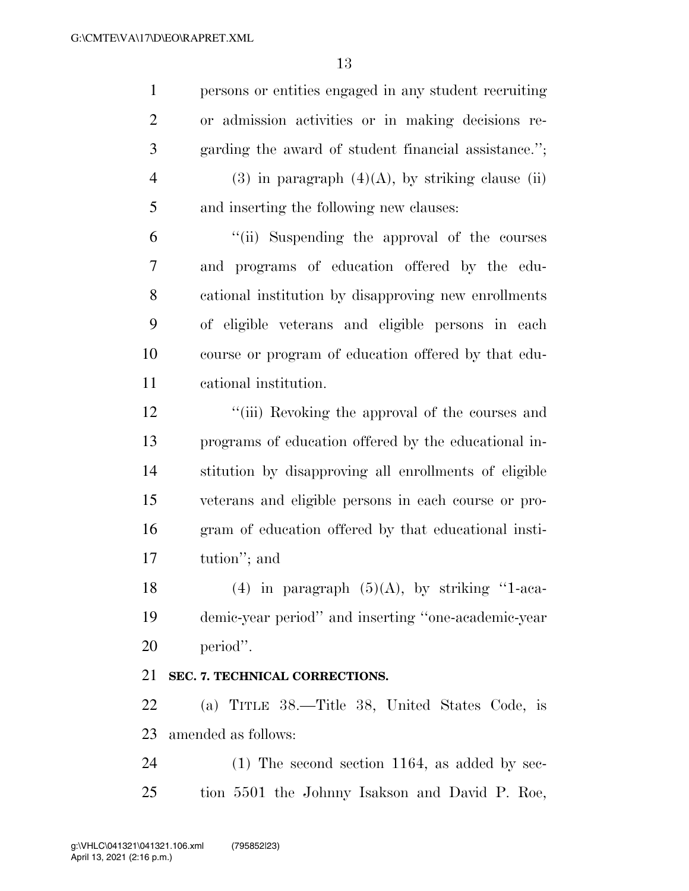persons or entities engaged in any student recruiting or admission activities or in making decisions re- garding the award of student financial assistance.''; 4 (3) in paragraph  $(4)(A)$ , by striking clause (ii) and inserting the following new clauses:

 ''(ii) Suspending the approval of the courses and programs of education offered by the edu- cational institution by disapproving new enrollments of eligible veterans and eligible persons in each course or program of education offered by that edu-cational institution.

12 ''(iii) Revoking the approval of the courses and programs of education offered by the educational in- stitution by disapproving all enrollments of eligible veterans and eligible persons in each course or pro- gram of education offered by that educational insti-tution''; and

18 (4) in paragraph  $(5)(A)$ , by striking "1-aca- demic-year period'' and inserting ''one-academic-year period''.

### **SEC. 7. TECHNICAL CORRECTIONS.**

 (a) TITLE 38.—Title 38, United States Code, is amended as follows:

 (1) The second section 1164, as added by sec-tion 5501 the Johnny Isakson and David P. Roe,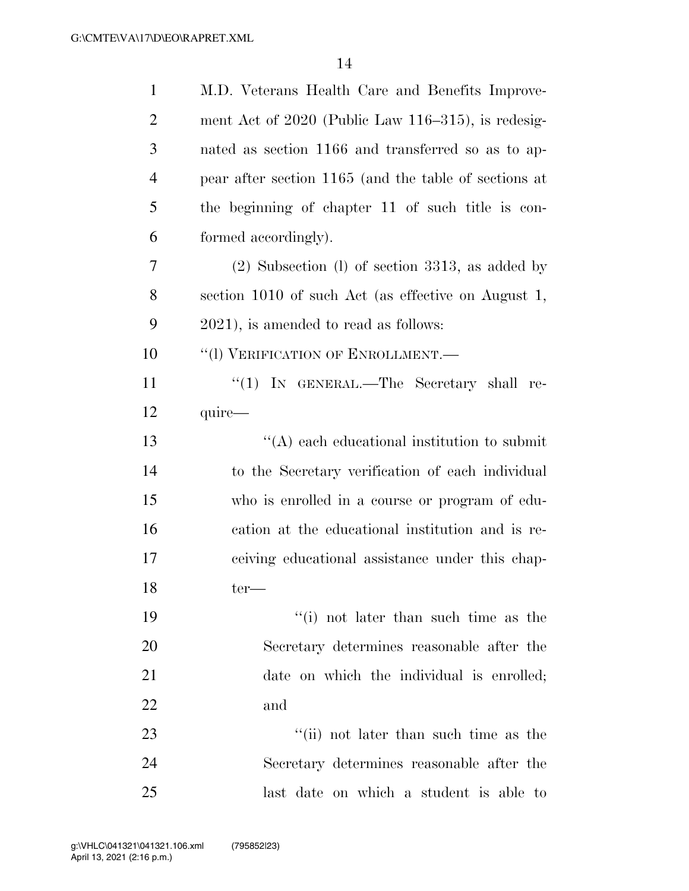| $\mathbf{1}$   | M.D. Veterans Health Care and Benefits Improve-       |
|----------------|-------------------------------------------------------|
| $\overline{2}$ | ment Act of 2020 (Public Law 116-315), is redesig-    |
| 3              | nated as section 1166 and transferred so as to ap-    |
| $\overline{4}$ | pear after section 1165 (and the table of sections at |
| 5              | the beginning of chapter 11 of such title is con-     |
| 6              | formed accordingly).                                  |
| 7              | $(2)$ Subsection $(l)$ of section 3313, as added by   |
| 8              | section 1010 of such Act (as effective on August 1,   |
| 9              | $2021$ , is amended to read as follows:               |
| 10             | "(1) VERIFICATION OF ENROLLMENT.-                     |
| 11             | "(1) IN GENERAL.—The Secretary shall re-              |
| 12             | quire-                                                |
| 13             | $\lq\lq$ each educational institution to submit       |
| 14             | to the Secretary verification of each individual      |
| 15             | who is enrolled in a course or program of edu-        |
| 16             | cation at the educational institution and is re-      |
| 17             | ceiving educational assistance under this chap-       |
| 18             | $ter-$                                                |
| 19             | "(i) not later than such time as the                  |
| 20             | Secretary determines reasonable after the             |
| 21             | date on which the individual is enrolled;             |
| 22             | and                                                   |
| 23             | "(ii) not later than such time as the                 |
| 24             | Secretary determines reasonable after the             |
| 25             | last date on which a student is able to               |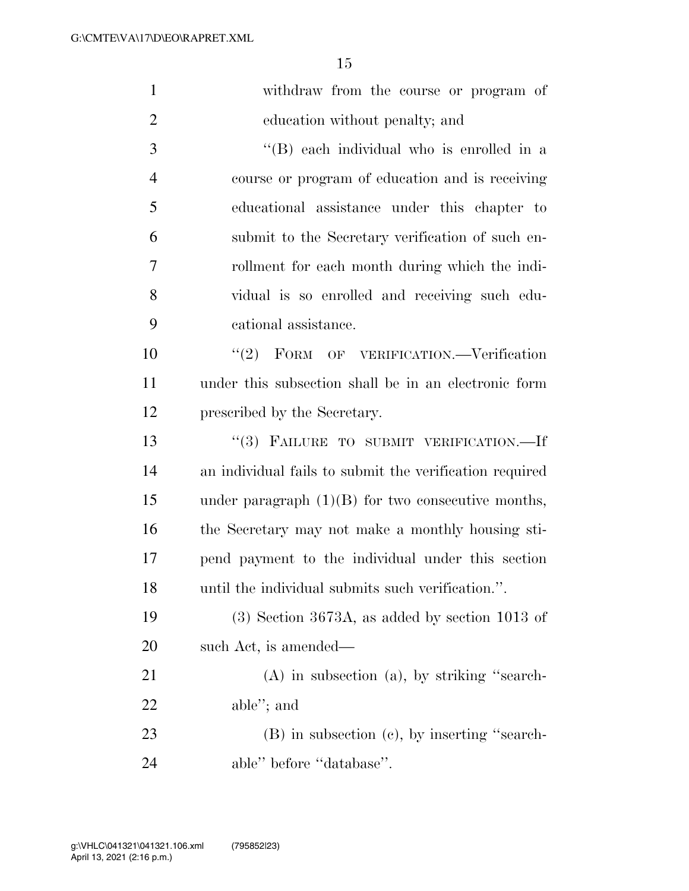| $\mathbf{1}$   | withdraw from the course or program of                  |
|----------------|---------------------------------------------------------|
| $\overline{2}$ | education without penalty; and                          |
| 3              | "(B) each individual who is enrolled in a               |
| $\overline{4}$ | course or program of education and is receiving         |
| 5              | educational assistance under this chapter to            |
| 6              | submit to the Secretary verification of such en-        |
| 7              | rollment for each month during which the indi-          |
| 8              | vidual is so enrolled and receiving such edu-           |
| 9              | cational assistance.                                    |
| 10             | "(2) FORM OF VERIFICATION.—Verification                 |
| 11             | under this subsection shall be in an electronic form    |
| 12             | prescribed by the Secretary.                            |
| 13             | "(3) FAILURE TO SUBMIT VERIFICATION.-If                 |
| 14             | an individual fails to submit the verification required |
| 15             | under paragraph $(1)(B)$ for two consecutive months,    |
| 16             | the Secretary may not make a monthly housing sti-       |
| 17             | pend payment to the individual under this section       |
| 18             | until the individual submits such verification.".       |
| 19             | $(3)$ Section 3673A, as added by section 1013 of        |
| 20             | such Act, is amended—                                   |
| 21             | $(A)$ in subsection $(a)$ , by striking "search-        |
| 22             | able"; and                                              |
| 23             | $(B)$ in subsection $(c)$ , by inserting "search-       |
| 24             | able" before "database".                                |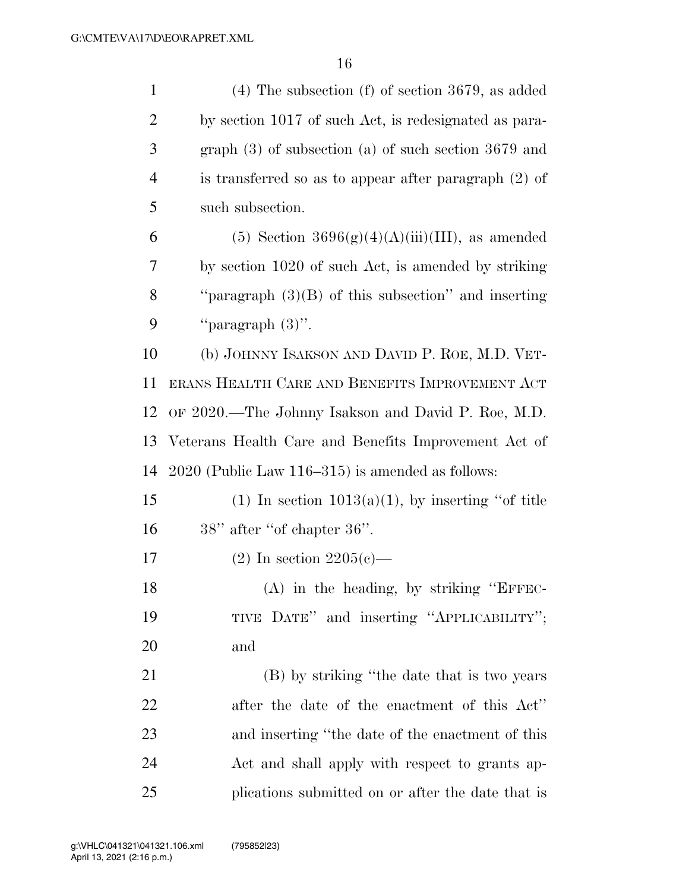| $\mathbf{1}$   | $(4)$ The subsection $(f)$ of section 3679, as added     |
|----------------|----------------------------------------------------------|
| $\overline{2}$ | by section 1017 of such Act, is redesignated as para-    |
| 3              | graph $(3)$ of subsection $(a)$ of such section 3679 and |
| $\overline{4}$ | is transferred so as to appear after paragraph $(2)$ of  |
| 5              | such subsection.                                         |
| 6              | $(5)$ Section 3696 $(g)(4)(A)(iii)(III)$ , as amended    |
| 7              | by section 1020 of such Act, is amended by striking      |
| 8              | "paragraph $(3)(B)$ of this subsection" and inserting    |
| 9              | "paragraph $(3)$ ".                                      |
| 10             | (b) JOHNNY ISAKSON AND DAVID P. ROE, M.D. VET-           |
| 11             | ERANS HEALTH CARE AND BENEFITS IMPROVEMENT ACT           |
| 12             | OF 2020.—The Johnny Isakson and David P. Roe, M.D.       |
| 13             | Veterans Health Care and Benefits Improvement Act of     |
| 14             | $2020$ (Public Law 116–315) is amended as follows:       |
| 15             | (1) In section $1013(a)(1)$ , by inserting "of title     |
| 16             | $38"$ after "of chapter $36"$ .                          |
| 17             | $(2)$ In section 2205(c)—                                |
| 18             | (A) in the heading, by striking "EFFEC-                  |
| 19             | TIVE DATE" and inserting "APPLICABILITY";                |
| 20             | and                                                      |
| 21             | (B) by striking "the date that is two years              |
| 22             | after the date of the enactment of this Act"             |
| 23             | and inserting "the date of the enactment of this         |
| 24             | Act and shall apply with respect to grants ap-           |
| 25             | plications submitted on or after the date that is        |